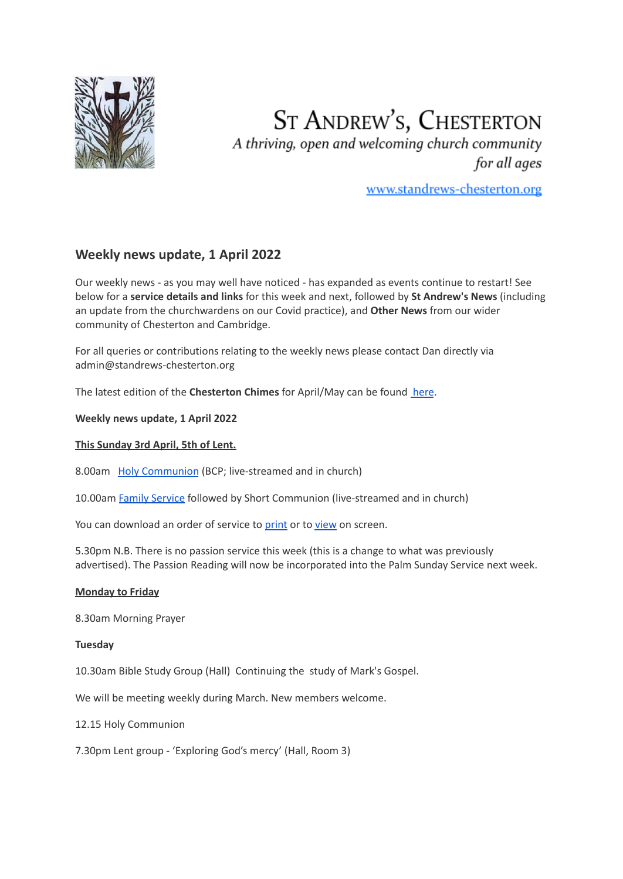

# **ST ANDREW'S, CHESTERTON**

A thriving, open and welcoming church community for all ages

www.standrews-chesterton.org

# **Weekly news update, 1 April 2022**

Our weekly news - as you may well have noticed - has expanded as events continue to restart! See below for a **service details and links** for this week and next, followed by **St Andrew's News** (including an update from the churchwardens on our Covid practice), and **Other News** from our wider community of Chesterton and Cambridge.

For all queries or contributions relating to the weekly news please contact Dan directly via admin@standrews-chesterton.org

The latest edition of the **Chesterton Chimes** for April/May can be found [here](https://www.standrews-chesterton.org/wp-content/uploads/2022/03/Chimes-AprilMay-2022.pdf).

**Weekly news update, 1 April 2022**

# **This Sunday 3rd April, 5th of Lent.**

8.00am Holy [Communion](https://studio.youtube.com/video/E7QULKw6DZU/livestreaming) (BCP; live-streamed and in church)

10.00am Family [Service](https://www.youtube.com/watch?v=d5t-jVzoiDA) followed by Short Communion (live-streamed and in church)

You can download an order of service to [print](https://www.standrews-chesterton.org/wp-content/uploads/2022/04/220403FS-print.pdf) or to [view](https://www.standrews-chesterton.org/wp-content/uploads/2022/04/220403FS-view.pdf) on screen.

5.30pm N.B. There is no passion service this week (this is a change to what was previously advertised). The Passion Reading will now be incorporated into the Palm Sunday Service next week.

# **Monday to Friday**

8.30am Morning Prayer

# **Tuesday**

10.30am Bible Study Group (Hall) Continuing the study of Mark's Gospel.

We will be meeting weekly during March. New members welcome.

12.15 Holy Communion

7.30pm Lent group - 'Exploring God's mercy' (Hall, Room 3)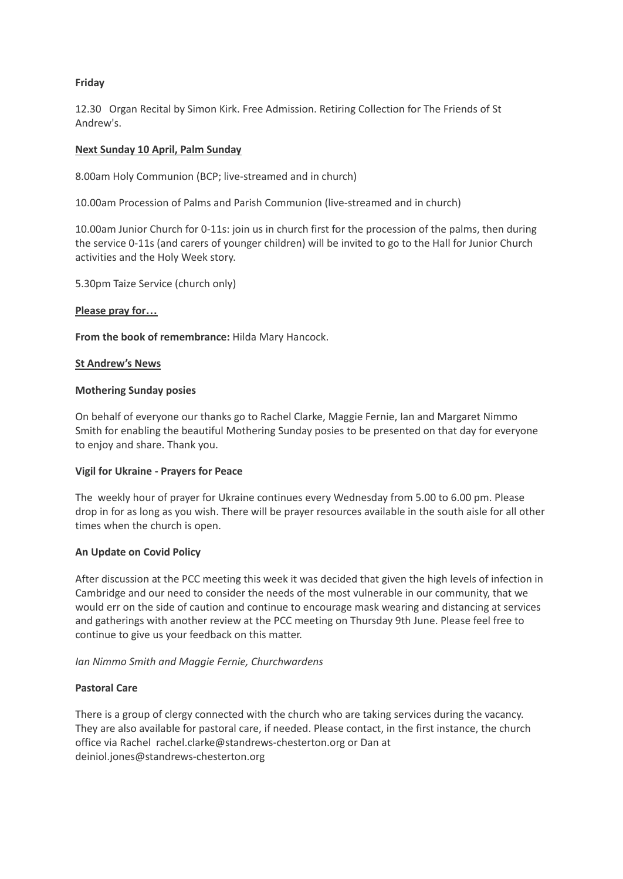# **Friday**

12.30 Organ Recital by Simon Kirk. Free Admission. Retiring Collection for The Friends of St Andrew's.

#### **Next Sunday 10 April, Palm Sunday**

8.00am Holy Communion (BCP; live-streamed and in church)

10.00am Procession of Palms and Parish Communion (live-streamed and in church)

10.00am Junior Church for 0-11s: join us in church first for the procession of the palms, then during the service 0-11s (and carers of younger children) will be invited to go to the Hall for Junior Church activities and the Holy Week story.

5.30pm Taize Service (church only)

#### **Please pray for…**

**From the book of remembrance:** Hilda Mary Hancock.

#### **St Andrew's News**

#### **Mothering Sunday posies**

On behalf of everyone our thanks go to Rachel Clarke, Maggie Fernie, Ian and Margaret Nimmo Smith for enabling the beautiful Mothering Sunday posies to be presented on that day for everyone to enjoy and share. Thank you.

# **Vigil for Ukraine - Prayers for Peace**

The weekly hour of prayer for Ukraine continues every Wednesday from 5.00 to 6.00 pm. Please drop in for as long as you wish. There will be prayer resources available in the south aisle for all other times when the church is open.

# **An Update on Covid Policy**

After discussion at the PCC meeting this week it was decided that given the high levels of infection in Cambridge and our need to consider the needs of the most vulnerable in our community, that we would err on the side of caution and continue to encourage mask wearing and distancing at services and gatherings with another review at the PCC meeting on Thursday 9th June. Please feel free to continue to give us your feedback on this matter.

# *Ian Nimmo Smith and Maggie Fernie, Churchwardens*

# **Pastoral Care**

There is a group of clergy connected with the church who are taking services during the vacancy. They are also available for pastoral care, if needed. Please contact, in the first instance, the church office via Rachel rachel.clarke@standrews-chesterton.org or Dan at deiniol.jones@standrews-chesterton.org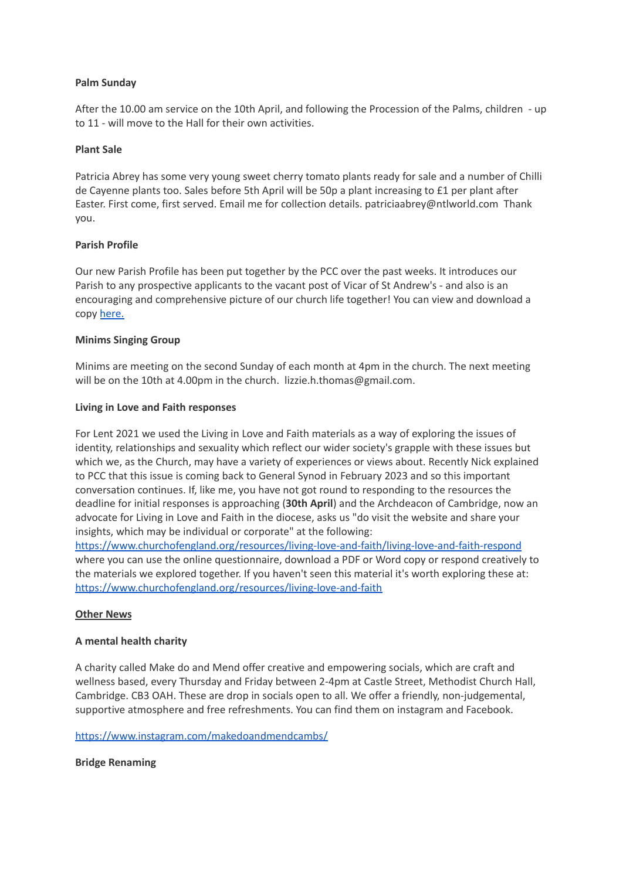# **Palm Sunday**

After the 10.00 am service on the 10th April, and following the Procession of the Palms, children - up to 11 - will move to the Hall for their own activities.

#### **Plant Sale**

Patricia Abrey has some very young sweet cherry tomato plants ready for sale and a number of Chilli de Cayenne plants too. Sales before 5th April will be 50p a plant increasing to £1 per plant after Easter. First come, first served. Email me for collection details. patriciaabrey@ntlworld.com Thank you.

#### **Parish Profile**

Our new Parish Profile has been put together by the PCC over the past weeks. It introduces our Parish to any prospective applicants to the vacant post of Vicar of St Andrew's - and also is an encouraging and comprehensive picture of our church life together! You can view and download a copy [here.](https://www.standrews-chesterton.org/)

#### **Minims Singing Group**

Minims are meeting on the second Sunday of each month at 4pm in the church. The next meeting will be on the 10th at 4.00pm in the church. lizzie.h.thomas@gmail.com.

#### **Living in Love and Faith responses**

For Lent 2021 we used the Living in Love and Faith materials as a way of exploring the issues of identity, relationships and sexuality which reflect our wider society's grapple with these issues but which we, as the Church, may have a variety of experiences or views about. Recently Nick explained to PCC that this issue is coming back to General Synod in February 2023 and so this important conversation continues. If, like me, you have not got round to responding to the resources the deadline for initial responses is approaching (**30th April**) and the Archdeacon of Cambridge, now an advocate for Living in Love and Faith in the diocese, asks us "do visit the website and share your insights, which may be individual or corporate" at the following[:](https://www.churchofengland.org/resources/living-love-and-faith/living-love-and-faith-respond)

<https://www.churchofengland.org/resources/living-love-and-faith/living-love-and-faith-respond> where you can use the online questionnaire, download a PDF or Word copy or respond creatively to the materials we explored together. If you haven't seen this material it's worth exploring these at: <https://www.churchofengland.org/resources/living-love-and-faith>

#### **Other News**

# **A mental health charity**

A charity called Make do and Mend offer creative and empowering socials, which are craft and wellness based, every Thursday and Friday between 2-4pm at Castle Street, Methodist Church Hall, Cambridge. CB3 OAH. These are drop in socials open to all. We offer a friendly, non-judgemental, supportive atmosphere and free refreshments. You can find them on instagram and Facebook.

#### <https://www.instagram.com/makedoandmendcambs/>

# **Bridge Renaming**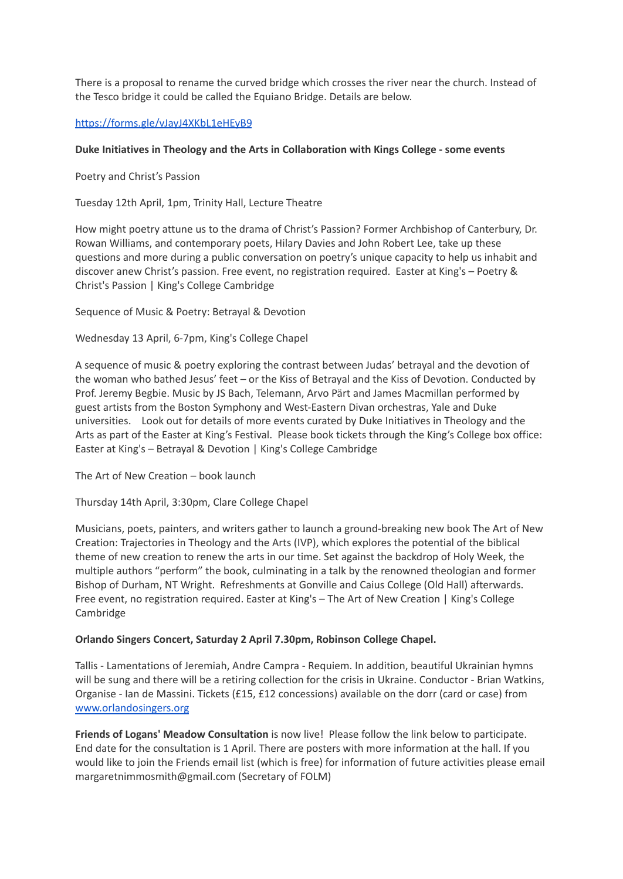There is a proposal to rename the curved bridge which crosses the river near the church. Instead of the Tesco bridge it could be called the Equiano Bridge. Details are below.

# <https://forms.gle/vJayJ4XKbL1eHEyB9>

# **Duke Initiatives in Theology and the Arts in Collaboration with Kings College - some events**

Poetry and Christ's Passion

Tuesday 12th April, 1pm, Trinity Hall, Lecture Theatre

How might poetry attune us to the drama of Christ's Passion? Former Archbishop of Canterbury, Dr. Rowan Williams, and contemporary poets, Hilary Davies and John Robert Lee, take up these questions and more during a public conversation on poetry's unique capacity to help us inhabit and discover anew Christ's passion. Free event, no registration required. Easter at King's – Poetry & Christ's Passion | King's College Cambridge

Sequence of Music & Poetry: Betrayal & Devotion

Wednesday 13 April, 6-7pm, King's College Chapel

A sequence of music & poetry exploring the contrast between Judas' betrayal and the devotion of the woman who bathed Jesus' feet – or the Kiss of Betrayal and the Kiss of Devotion. Conducted by Prof. Jeremy Begbie. Music by JS Bach, Telemann, Arvo Pärt and James Macmillan performed by guest artists from the Boston Symphony and West-Eastern Divan orchestras, Yale and Duke universities. Look out for details of more events curated by Duke Initiatives in Theology and the Arts as part of the Easter at King's Festival. Please book tickets through the King's College box office: Easter at King's – Betrayal & Devotion | King's College Cambridge

The Art of New Creation – book launch

Thursday 14th April, 3:30pm, Clare College Chapel

Musicians, poets, painters, and writers gather to launch a ground-breaking new book The Art of New Creation: Trajectories in Theology and the Arts (IVP), which explores the potential of the biblical theme of new creation to renew the arts in our time. Set against the backdrop of Holy Week, the multiple authors "perform" the book, culminating in a talk by the renowned theologian and former Bishop of Durham, NT Wright. Refreshments at Gonville and Caius College (Old Hall) afterwards. Free event, no registration required. Easter at King's – The Art of New Creation | King's College Cambridge

# **Orlando Singers Concert, Saturday 2 April 7.30pm, Robinson College Chapel.**

Tallis - Lamentations of Jeremiah, Andre Campra - Requiem. In addition, beautiful Ukrainian hymns will be sung and there will be a retiring collection for the crisis in Ukraine. Conductor - Brian Watkins, Organise - Ian de Massini. Tickets (£15, £12 concessions) available on the dorr (card or case) from [www.orlandosingers.org](http://www.orlandosingers.org)

**Friends of Logans' Meadow Consultation** is now live! Please follow the link below to participate. End date for the consultation is 1 April. There are posters with more information at the hall. If you would like to join the Friends email list (which is free) for information of future activities please email margaretnimmosmith@gmail.com (Secretary of FOLM)